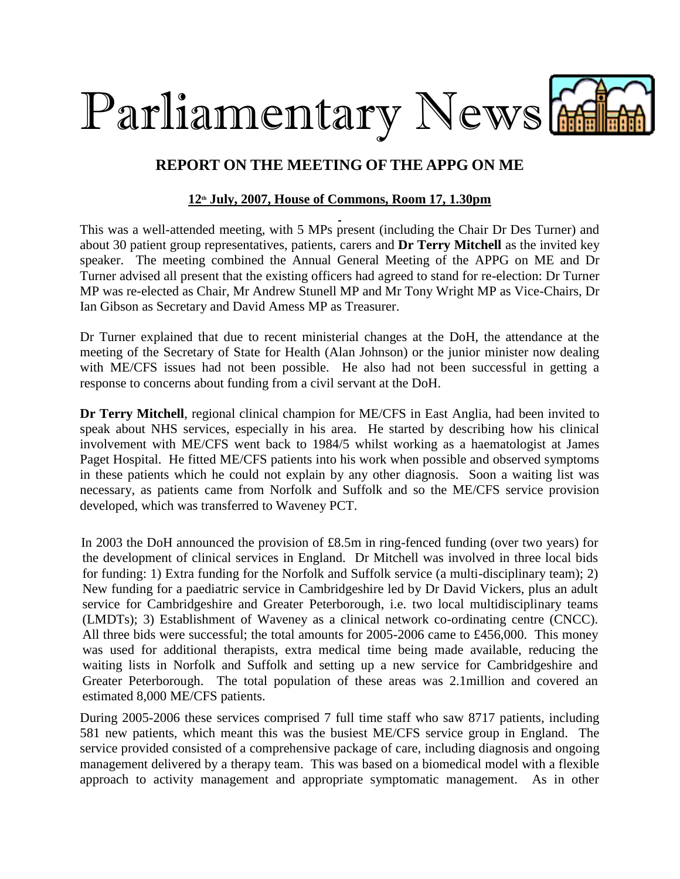

## **REPORT ON THE MEETING OF THE APPG ON ME**

## **12th July, 2007, House of Commons, Room 17, 1.30pm**

This was a well-attended meeting, with 5 MPs present (including the Chair Dr Des Turner) and about 30 patient group representatives, patients, carers and **Dr Terry Mitchell** as the invited key speaker. The meeting combined the Annual General Meeting of the APPG on ME and Dr Turner advised all present that the existing officers had agreed to stand for re-election: Dr Turner MP was re-elected as Chair, Mr Andrew Stunell MP and Mr Tony Wright MP as Vice-Chairs, Dr Ian Gibson as Secretary and David Amess MP as Treasurer.

Dr Turner explained that due to recent ministerial changes at the DoH, the attendance at the meeting of the Secretary of State for Health (Alan Johnson) or the junior minister now dealing with ME/CFS issues had not been possible. He also had not been successful in getting a response to concerns about funding from a civil servant at the DoH.

**Dr Terry Mitchell**, regional clinical champion for ME/CFS in East Anglia, had been invited to speak about NHS services, especially in his area. He started by describing how his clinical involvement with ME/CFS went back to 1984/5 whilst working as a haematologist at James Paget Hospital. He fitted ME/CFS patients into his work when possible and observed symptoms in these patients which he could not explain by any other diagnosis. Soon a waiting list was necessary, as patients came from Norfolk and Suffolk and so the ME/CFS service provision developed, which was transferred to Waveney PCT.

In 2003 the DoH announced the provision of £8.5m in ring-fenced funding (over two years) for the development of clinical services in England. Dr Mitchell was involved in three local bids for funding: 1) Extra funding for the Norfolk and Suffolk service (a multi-disciplinary team); 2) New funding for a paediatric service in Cambridgeshire led by Dr David Vickers, plus an adult service for Cambridgeshire and Greater Peterborough, i.e. two local multidisciplinary teams (LMDTs); 3) Establishment of Waveney as a clinical network co-ordinating centre (CNCC). All three bids were successful; the total amounts for 2005-2006 came to £456,000. This money was used for additional therapists, extra medical time being made available, reducing the waiting lists in Norfolk and Suffolk and setting up a new service for Cambridgeshire and Greater Peterborough. The total population of these areas was 2.1million and covered an estimated 8,000 ME/CFS patients.

During 2005-2006 these services comprised 7 full time staff who saw 8717 patients, including 581 new patients, which meant this was the busiest ME/CFS service group in England. The service provided consisted of a comprehensive package of care, including diagnosis and ongoing management delivered by a therapy team. This was based on a biomedical model with a flexible approach to activity management and appropriate symptomatic management. As in other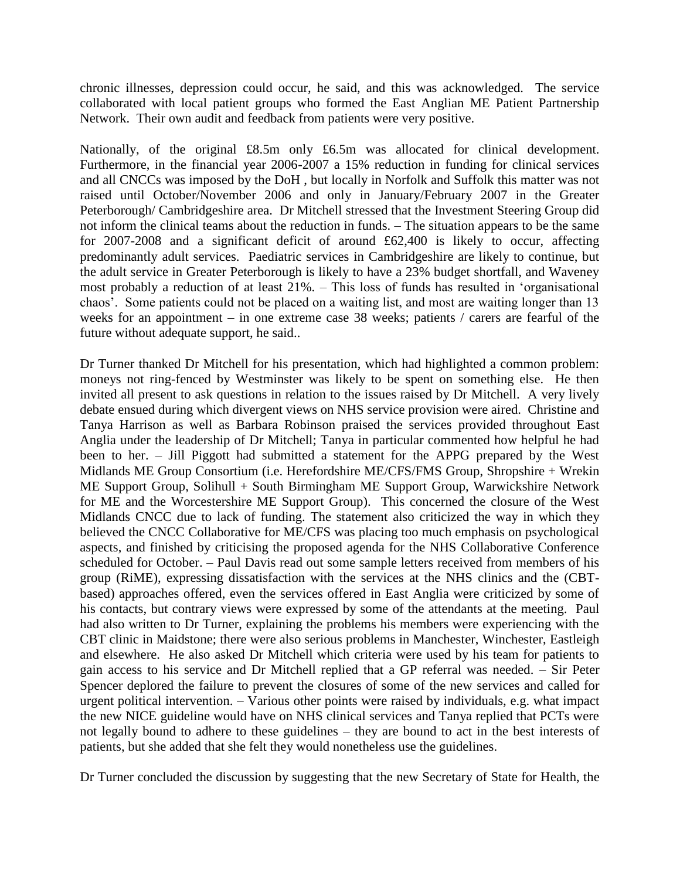chronic illnesses, depression could occur, he said, and this was acknowledged. The service collaborated with local patient groups who formed the East Anglian ME Patient Partnership Network. Their own audit and feedback from patients were very positive.

Nationally, of the original £8.5m only £6.5m was allocated for clinical development. Furthermore, in the financial year 2006-2007 a 15% reduction in funding for clinical services and all CNCCs was imposed by the DoH , but locally in Norfolk and Suffolk this matter was not raised until October/November 2006 and only in January/February 2007 in the Greater Peterborough/ Cambridgeshire area. Dr Mitchell stressed that the Investment Steering Group did not inform the clinical teams about the reduction in funds. – The situation appears to be the same for 2007-2008 and a significant deficit of around £62,400 is likely to occur, affecting predominantly adult services. Paediatric services in Cambridgeshire are likely to continue, but the adult service in Greater Peterborough is likely to have a 23% budget shortfall, and Waveney most probably a reduction of at least 21%. – This loss of funds has resulted in 'organisational chaos'. Some patients could not be placed on a waiting list, and most are waiting longer than 13 weeks for an appointment – in one extreme case 38 weeks; patients / carers are fearful of the future without adequate support, he said..

Dr Turner thanked Dr Mitchell for his presentation, which had highlighted a common problem: moneys not ring-fenced by Westminster was likely to be spent on something else. He then invited all present to ask questions in relation to the issues raised by Dr Mitchell. A very lively debate ensued during which divergent views on NHS service provision were aired. Christine and Tanya Harrison as well as Barbara Robinson praised the services provided throughout East Anglia under the leadership of Dr Mitchell; Tanya in particular commented how helpful he had been to her. – Jill Piggott had submitted a statement for the APPG prepared by the West Midlands ME Group Consortium (i.e. Herefordshire ME/CFS/FMS Group, Shropshire + Wrekin ME Support Group, Solihull + South Birmingham ME Support Group, Warwickshire Network for ME and the Worcestershire ME Support Group). This concerned the closure of the West Midlands CNCC due to lack of funding. The statement also criticized the way in which they believed the CNCC Collaborative for ME/CFS was placing too much emphasis on psychological aspects, and finished by criticising the proposed agenda for the NHS Collaborative Conference scheduled for October. – Paul Davis read out some sample letters received from members of his group (RiME), expressing dissatisfaction with the services at the NHS clinics and the (CBTbased) approaches offered, even the services offered in East Anglia were criticized by some of his contacts, but contrary views were expressed by some of the attendants at the meeting. Paul had also written to Dr Turner, explaining the problems his members were experiencing with the CBT clinic in Maidstone; there were also serious problems in Manchester, Winchester, Eastleigh and elsewhere. He also asked Dr Mitchell which criteria were used by his team for patients to gain access to his service and Dr Mitchell replied that a GP referral was needed. – Sir Peter Spencer deplored the failure to prevent the closures of some of the new services and called for urgent political intervention. – Various other points were raised by individuals, e.g. what impact the new NICE guideline would have on NHS clinical services and Tanya replied that PCTs were not legally bound to adhere to these guidelines – they are bound to act in the best interests of patients, but she added that she felt they would nonetheless use the guidelines.

Dr Turner concluded the discussion by suggesting that the new Secretary of State for Health, the